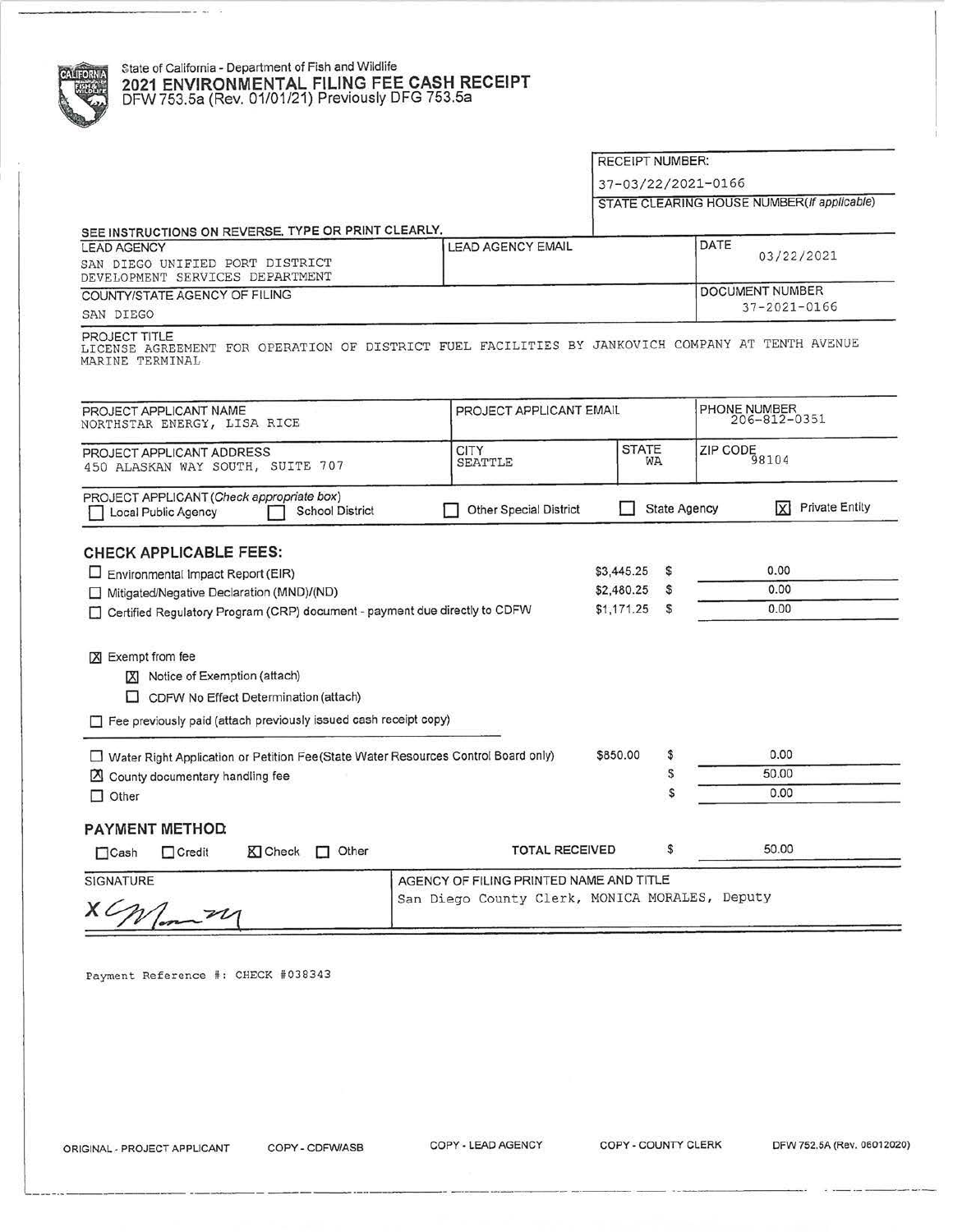# State of California - Department of Fish and Wildlife **1998 and 2021 ENVIRONMENTAL FILING FEE CASH RECEIPT**<br>DFW 753.5a (Rev. 01/01/21) Previously DFG 753.5a DFW753.5a (Rev. 01/01/21) Previously DFG 753.5a

#### RECEIPT NUMBER:

37-03/22/2021-0166

STATE CLEARING HOUSE NUMBER(If applicable)

| SEE INSTRUCTIONS ON REVERSE, TYPE OR PRINT CLEARLY.<br><b>LEAD AGENCY</b><br>SAN DIEGO UNIFIED PORT DISTRICT<br>DEVELOPMENT SERVICES DEPARTMENT | <b>LEAD AGENCY EMAIL</b> | DATE | 03/22/2021                            |
|-------------------------------------------------------------------------------------------------------------------------------------------------|--------------------------|------|---------------------------------------|
| COUNTY/STATE AGENCY OF FILING<br>SAN DIEGO                                                                                                      |                          |      | DOCUMENT NUMBER<br>$37 - 2021 - 0166$ |
|                                                                                                                                                 |                          |      |                                       |
| PROJECT TITLE<br>LICENSE AGREEMENT FOR OPERATION OF DISTRICT FUEL FACILITIES BY JANKOVICH COMPANY AT TENTH AVENUE<br>MARINE TERMINAL            |                          |      |                                       |
| PROJECT APPLICANT NAME<br>NORTHSTAR ENERGY, LISA RICE                                                                                           | PROJECT APPLICANT EMAIL  |      | PHONE NUMBER<br>$206 - 812 - 0351$    |

### **CHECK APPLICABLE FEES:**

| CHECK APPLICABLE FEES.                                                              |                                                |    |       |  |
|-------------------------------------------------------------------------------------|------------------------------------------------|----|-------|--|
| Environmental Impact Report (EIR)                                                   | \$3,445.25                                     | s  | 0.00  |  |
| Mitigated/Negative Declaration (MND)/(ND)                                           | \$2,480.25                                     | s  | 0.00  |  |
| Certified Regulatory Program (CRP) document - payment due directly to CDFW<br>U     | \$1,171.25                                     | s  | 0.00  |  |
| Exempt from fee<br>ГXI                                                              |                                                |    |       |  |
| Notice of Exemption (attach)<br>IХI                                                 |                                                |    |       |  |
| CDFW No Effect Determination (attach)                                               |                                                |    |       |  |
| Fee previously paid (attach previously issued cash receipt copy)                    |                                                |    |       |  |
| □ Water Right Application or Petition Fee(State Water Resources Control Board only) | \$850.00                                       | \$ | 0.00  |  |
| County documentary handling fee                                                     |                                                |    | 50.00 |  |
| $\Box$ Other                                                                        |                                                | S  | 0.00  |  |
| <b>PAYMENT METHOD</b>                                                               |                                                |    |       |  |
| K Check<br>Other<br>$\Box$ Credit<br>$\Box$ Cash<br>П                               | <b>TOTAL RECEIVED</b>                          | \$ | 50.00 |  |
| <b>SIGNATURE</b>                                                                    | AGENCY OF FILING PRINTED NAME AND TITLE        |    |       |  |
|                                                                                     | San Diego County Clerk, MONICA MORALES, Deputy |    |       |  |

Payment Reference #: CHECK #038343

-----·-··-------------- ---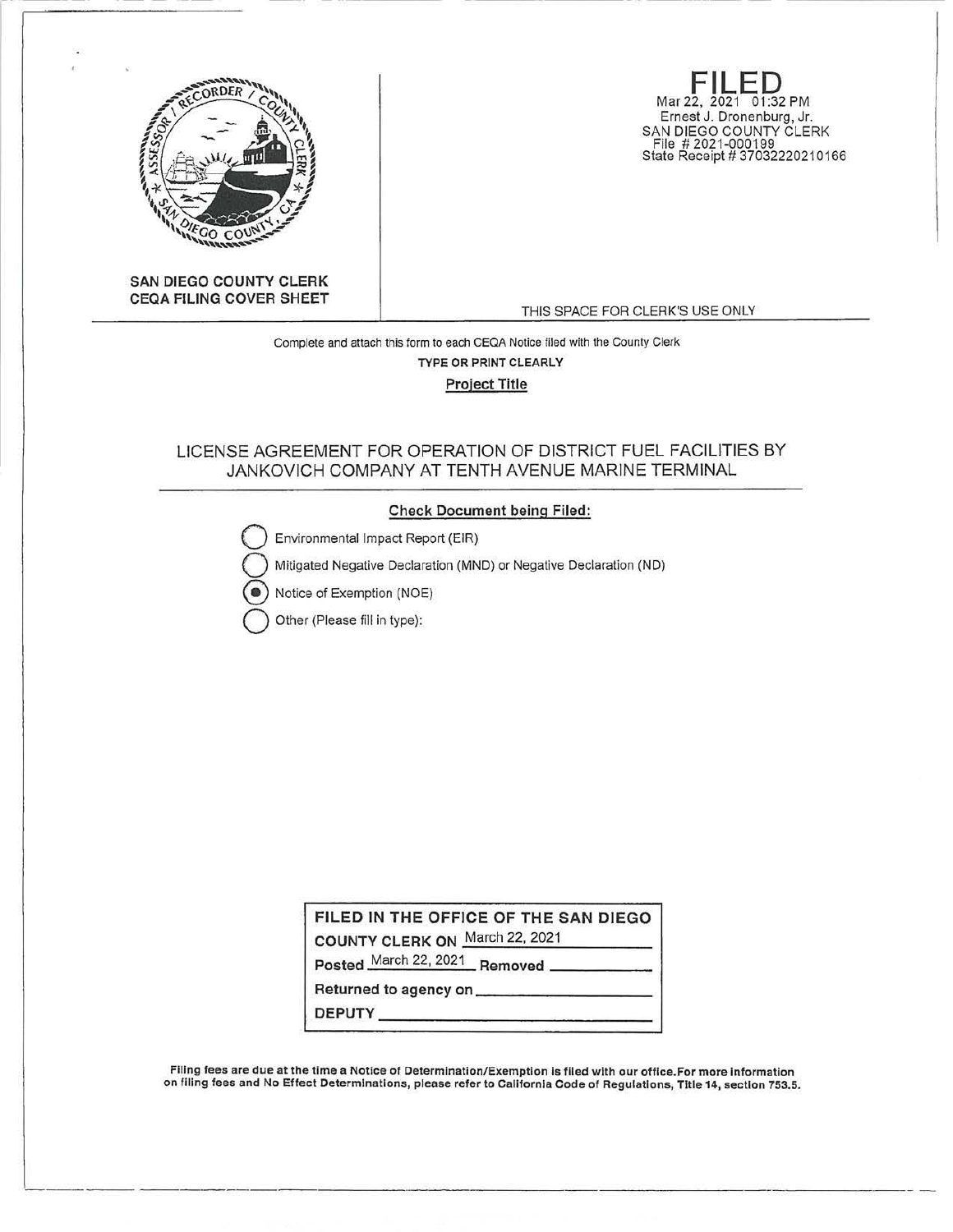

**FILED**<br>Mar 22, 2021 01:32 PM Ernest J. Dronenburg, Jr. SAN DIEGO COUNTY CLERK File # 2021-000199 State Receipt # 37032220210166

**SAN DIEGO COUNTY CLERK CEQA FILING COVER SHEET** 

THIS SPACE FOR CLERK'S USE ONLY

Complete and attach this form to each CEQA Notice filed with the County Clerk **TYPE OR PRINT** CLEARLY **Project Title** 

## LICENSE AGREEMENT FOR OPERATION OF DISTRICT FUEL FACILITIES BY JANKOVICH COMPANY AT TENTH AVENUE MARINE TERMINAL

#### **Check Document being Filed:**

Environmental Impact Report (EIR)

Mitigated Negative Declaration (MND) or Negative Declaration (ND)

Notice of Exemption (NOE)

Q Other (Please fill in type):

**FILED IN THE OFFICE OF THE SAN DIEGO** 

**COUNTY CLERK ON** March 22, 2021

Posted March 22, 2021 **Removed** 

**Returned to agency** on \_\_\_\_\_\_\_\_\_ \_ **DEPUTY \_\_\_\_\_\_\_\_\_\_\_\_ \_** 

Filing fees are due at the time a Notice of Determination/Exemption Is flied with our office.For more Information on filing fees and No Effect Determinations, please refer to California Code of Regulations, Title 14, section 753.5.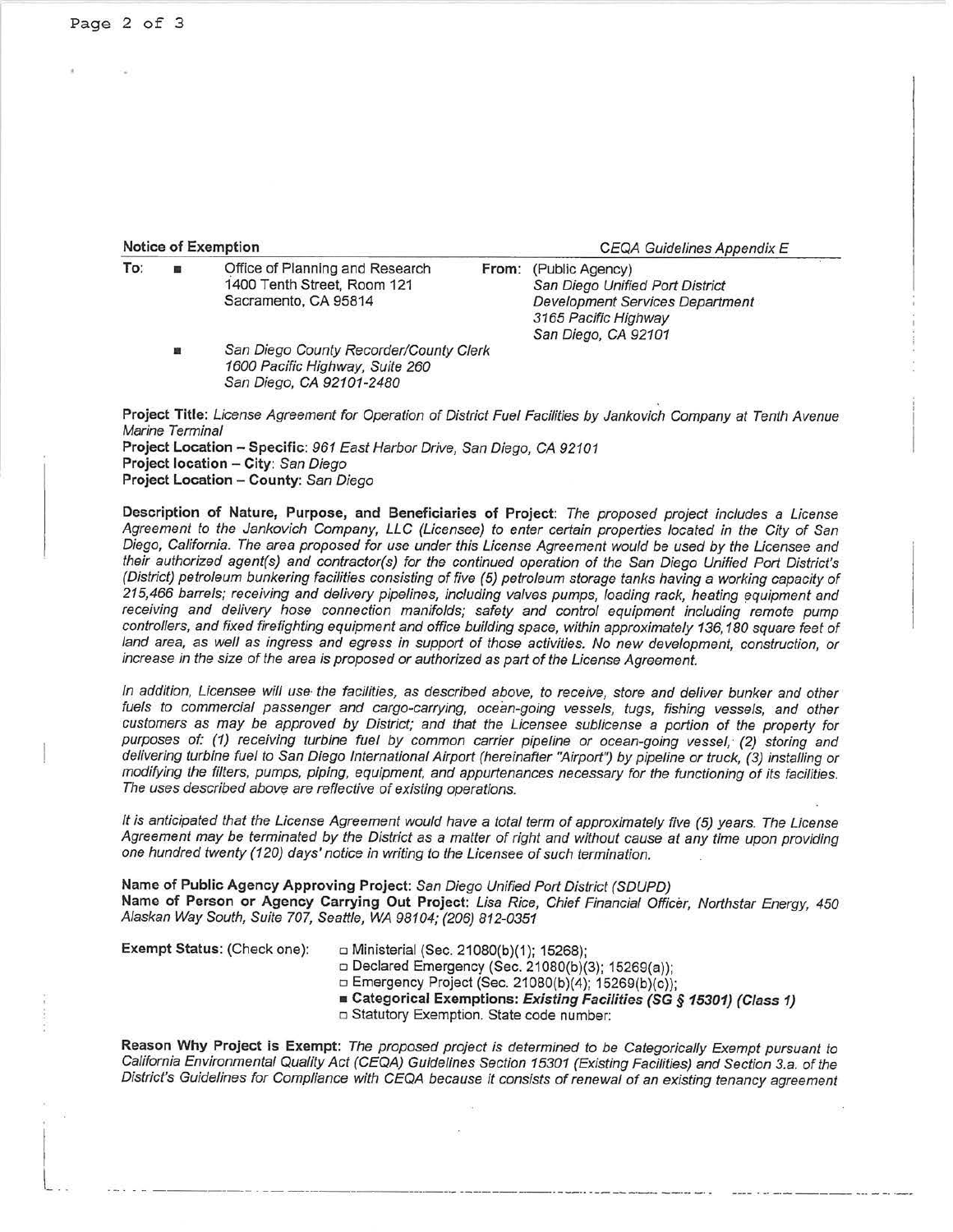|  |  | <b>Notice of Exemption</b> |
|--|--|----------------------------|
|--|--|----------------------------|

San Diego, CA 92101-2480

**CEQA Guidelines Appendix E** 

| To: | ■ | Office of Planning and Research        | From: (Public Agency)           |  |
|-----|---|----------------------------------------|---------------------------------|--|
|     |   | 1400 Tenth Street, Room 121            | San Diego Unified Port District |  |
|     |   | Sacramento, CA 95814                   | Development Services Department |  |
|     |   |                                        | 3165 Pacific Highway            |  |
|     |   |                                        | San Diego, CA 92101             |  |
|     | 重 | San Diego County Recorder/County Clerk |                                 |  |
|     |   | 1600 Pacific Highway, Suite 260        |                                 |  |

**Project Title:** License Agreement for Operation of District Fuel Facilities by Jankovich Company at Tenth Avenue Marine Terminal **Project Location - Specific:** 961 East Harbor Drive, San Diego, CA 92101 **Project location - City:** San Diego **Project Location - County:** San Diego

**Description of Nature, Purpose, and Beneficiaries of Project:** The proposed project includes a License Agreement to the Jankovich Company, LLC (Licensee) to enter certain properties located in the City of San Diego, California. The area proposed for use under this License Agreement would be used by the Licensee and their authorized agent(s) and contractor(s) for the continued operation of the San Diego Unified Port District's (District) petroleum bunkering facilities consisting of five (5) petroleum storage tanks having a working capacity of 215,466 barrels; receiving and delivery pipelines, including valves pumps, loading rack, heating equipment and receiving and delivery hose connection manifolds; safety and control equipment including remote pump controllers, and fixed firefighting equipment and office building space, within approximately 136,180 square feet of land area, as well as ingress and egress in support of those activities. No new development, construction, or increase in the size of the area is proposed or authorized as part of the License Agreement.

In addition, Licensee will use· the facilities, as described above, to receive, store and deliver bunker and other fuels to commercial passenger and cargo-carrying, ocean-going vessels, tugs, fishing vessels, and other customers as may be approved by District; and that the Licensee sublicense a portion of the property for purposes of: (1) receiving turbine fuel by common carrier pipeline or ocean-going vessel, (2) storing and delivering turbine fuel to San Diego International Airport (hereinafter "Airport") by pipeline or truck, (3) installing or modifying the filters, pumps, piping, equipment, and appurtenances necessary for the functioning of its facilities. The uses described above are reflective of existing operations.

It is anticipated that the License Agreement would have a total term of approximately five (5) years. The License Agreement may be terminated by the District as a matter of right and without cause at any time upon providing one hundred twenty (120) days' notice in writing to the Licensee of such termination.

**Name of Public Agency Approving Project:** San Diego Unified Port District (SDUPD) **Name of Person or Agency Carrying Out Project:** Lisa Rice, Chief Financial Officer, Northstar Energy, 450 Alaskan Way South, Suite 707, Seattle, WA 98104; {206) 812-0351

I  $\mathbf{L}$ 

**Exempt Status: (Check one):** □ Ministerial (Sec. 21080(b)(1); 15268);

□ Declared Emergency (Sec. 21080(b)(3); 15269(a));

□ Emergency Project (Sec. 21080(b)(4); 15269(b)(c));

■ **Categorical Exemptions: Existing Facilities (SG § 15301) (Class 1)** 

. ----------------------·---·· ·-- ------ -----·· --- ... ------ ... - -· ·--

□ Statutory Exemption. State code number:

**Reason Why Project is Exempt:** The proposed project is determined to be Categorically Exempt pursuant to California Environmental Quality Act (CEQA) Guidelines Section 15301 (Existing Facilities) and Section 3.a. of the District's Guidelines for Compliance with CEQA because it consists of renewal of an existing tenancy agreement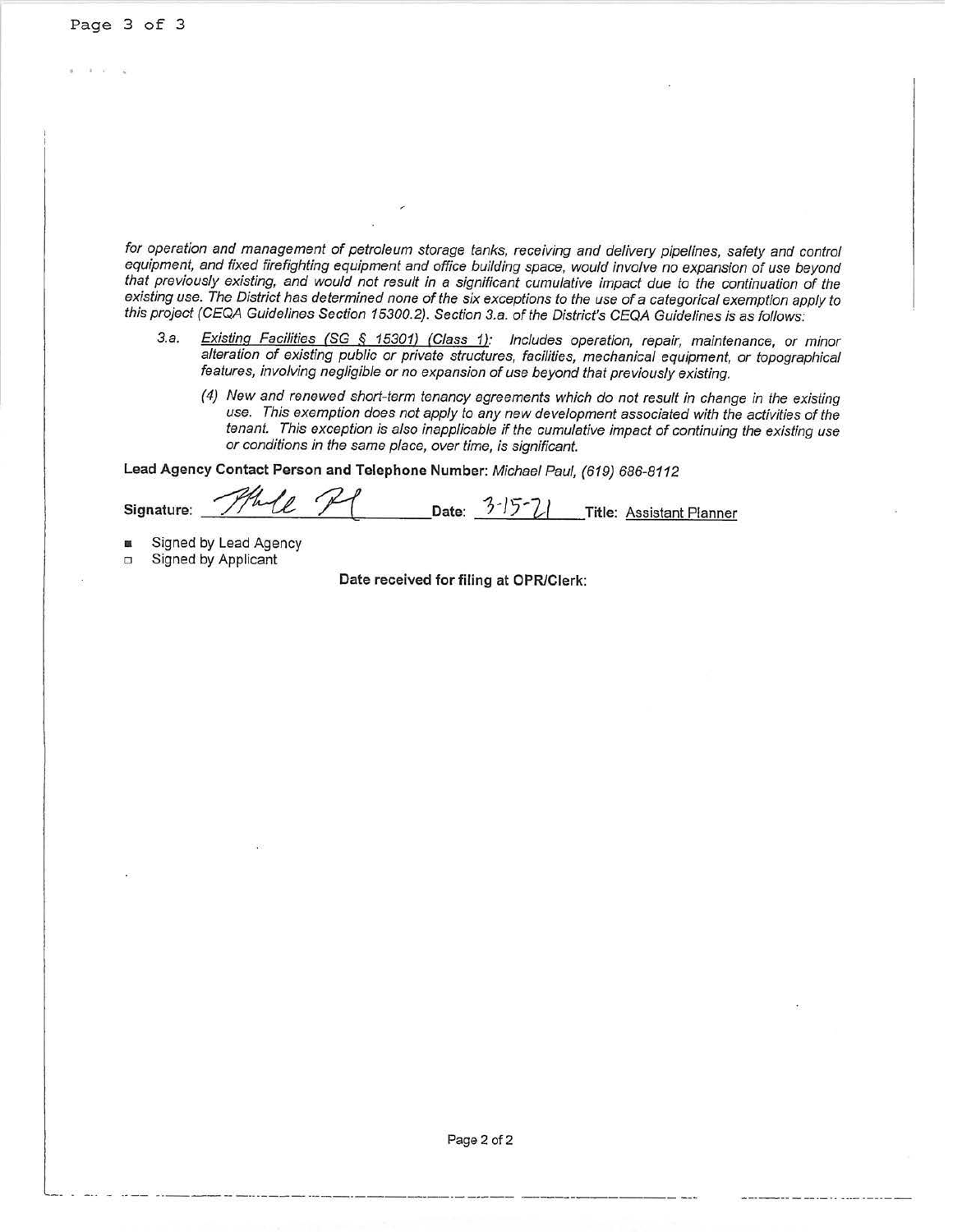for operation and management of petroleum storage tanks, receiving and delivery pipelines, safety and control equipment, and fixed firefighting equipment and office building space, would involve no expansion of use beyond that previously existing, and would not result in a significant cumulative impact due to the continuation of the existing use. The District has determined none of the six exceptions to the use of a categorical exemption apply to this project (CEQA Guidelines Section 15300.2). Section 3.a. of the District's CEQA Guidelines is as follows:

- 3.a. Existing Facilities (SG § 15301) (Class 1): Includes operation, repair, maintenance, or minor alteration of existing public or private structures, facilities, mechanical equipment, or topographical features, involving negligible or no expansion of use beyond that previously existing.
	- (4) New and renewed short-term tenancy agreements which do not result in change in the existing use. This exemption does not apply to any new development associated with the activities of the tenant. This exception is also inapplicable if the cumulative impact of continuing the existing use or conditions in the same place, over time, is significant.

**Lead Agency Contact Person and Telephone Number:** Michael Paul, (619) 686-8112

Signature: **Thele Pl** Date: <sup>3-15-</sup>21 Title: <u>Assistant Planner</u>

- Signed by Lead Agency
- o Signed by Applicant

**Date received for filing at CPR/Clerk:**